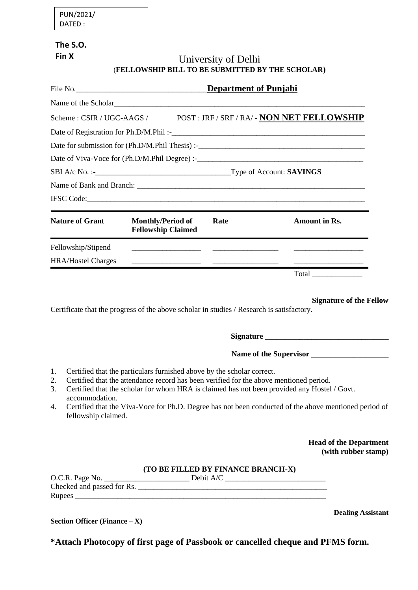| PUN/2021/ |  |
|-----------|--|
| DATFD :   |  |

### **The S.O. Fin X**

# University of Delhi (**FELLOWSHIP BILL TO BE SUBMITTED BY THE SCHOLAR)**

| File No.                  |                                                       | Department of Punjabi                                                                                                   |                                             |
|---------------------------|-------------------------------------------------------|-------------------------------------------------------------------------------------------------------------------------|---------------------------------------------|
|                           |                                                       |                                                                                                                         |                                             |
| Scheme: CSIR / UGC-AAGS / |                                                       |                                                                                                                         | POST : JRF / SRF / RA/ - NON NET FELLOWSHIP |
|                           |                                                       |                                                                                                                         |                                             |
|                           |                                                       |                                                                                                                         |                                             |
|                           |                                                       |                                                                                                                         |                                             |
|                           |                                                       |                                                                                                                         |                                             |
|                           |                                                       |                                                                                                                         |                                             |
|                           |                                                       |                                                                                                                         | IFSC Code:                                  |
| <b>Nature of Grant</b>    | <b>Monthly/Period of</b><br><b>Fellowship Claimed</b> | Rate                                                                                                                    | <b>Amount in Rs.</b>                        |
| Fellowship/Stipend        |                                                       |                                                                                                                         |                                             |
| <b>HRA/Hostel Charges</b> |                                                       | <u> Alexandro Alexandro (alexandro Alexandro Alexandro Alexandro Alexandro Alexandro Alexandro Alexandro Alexandro </u> |                                             |
|                           |                                                       |                                                                                                                         |                                             |

**Signature of the Fellow** 

Certificate that the progress of the above scholar in studies / Research is satisfactory.

**Signature \_\_\_\_\_\_\_\_\_\_\_\_\_\_\_\_\_\_\_\_\_\_\_\_\_\_\_\_\_\_\_\_**

Name of the Supervisor

- 1. Certified that the particulars furnished above by the scholar correct.
- 2. Certified that the attendance record has been verified for the above mentioned period.
- 3. Certified that the scholar for whom HRA is claimed has not been provided any Hostel / Govt. accommodation.
- 4. Certified that the Viva-Voce for Ph.D. Degree has not been conducted of the above mentioned period of fellowship claimed.

**Head of the Department (with rubber stamp)** 

#### **(TO BE FILLED BY FINANCE BRANCH-X)**

| O.C.R. Page No.            | Debit A/C |
|----------------------------|-----------|
| Checked and passed for Rs. |           |
| Rupees                     |           |

## **Section Officer (Finance – X)**

**Dealing Assistant**

**\*Attach Photocopy of first page of Passbook or cancelled cheque and PFMS form.**